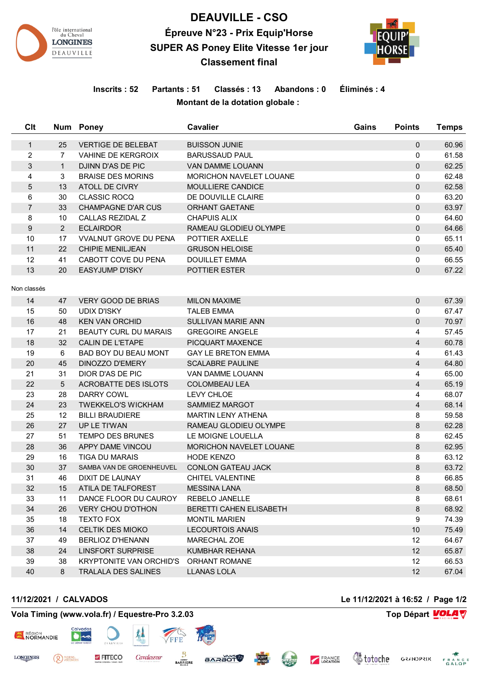

# **DEAUVILLE - CSO Épreuve N°23 - Prix Equip'Horse SUPER AS Poney Elite Vitesse 1er jour Classement final**



# **Inscrits : 52 Partants : 51 Classés : 13 Abandons : 0 Éliminés : 4 Montant de la dotation globale :**

| Clt              |                | Num Poney                      | Cavalier                  | Gains | <b>Points</b>  | <b>Temps</b> |
|------------------|----------------|--------------------------------|---------------------------|-------|----------------|--------------|
| $\mathbf{1}$     | 25             | <b>VERTIGE DE BELEBAT</b>      | <b>BUISSON JUNIE</b>      |       | $\mathbf 0$    | 60.96        |
| $\overline{c}$   | $\overline{7}$ | <b>VAHINE DE KERGROIX</b>      | <b>BARUSSAUD PAUL</b>     |       | 0              | 61.58        |
| $\mathsf 3$      | $\mathbf{1}$   | DJINN D'AS DE PIC              | <b>VAN DAMME LOUANN</b>   |       | $\mathbf{0}$   | 62.25        |
| 4                | 3              | <b>BRAISE DES MORINS</b>       | MORICHON NAVELET LOUANE   |       | 0              | 62.48        |
| 5                | 13             | ATOLL DE CIVRY                 | MOULLIERE CANDICE         |       | $\mathbf 0$    | 62.58        |
| 6                | 30             | <b>CLASSIC ROCQ</b>            | DE DOUVILLE CLAIRE        |       | 0              | 63.20        |
| $\overline{7}$   | 33             | <b>CHAMPAGNE D'AR CUS</b>      | <b>ORHANT GAETANE</b>     |       | $\mathbf 0$    | 63.97        |
| 8                | 10             | CALLAS REZIDAL Z               | CHAPUIS ALIX              |       | 0              | 64.60        |
| $\boldsymbol{9}$ | $\overline{2}$ | <b>ECLAIRDOR</b>               | RAMEAU GLODIEU OLYMPE     |       | $\mathbf 0$    | 64.66        |
| 10               | 17             | <b>VVALNUT GROVE DU PENA</b>   | POTTIER AXELLE            |       | 0              | 65.11        |
| 11               | 22             | <b>CHIPIE MENILJEAN</b>        | <b>GRUSON HELOISE</b>     |       | $\mathbf 0$    | 65.40        |
| 12               | 41             | CABOTT COVE DU PENA            | <b>DOUILLET EMMA</b>      |       | 0              | 66.55        |
| 13               | 20             | <b>EASYJUMP D'ISKY</b>         | POTTIER ESTER             |       | $\mathbf 0$    | 67.22        |
| Non classés      |                |                                |                           |       |                |              |
| 14               | 47             | <b>VERY GOOD DE BRIAS</b>      | <b>MILON MAXIME</b>       |       | 0              | 67.39        |
| 15               | 50             | <b>UDIX D'ISKY</b>             | <b>TALEB EMMA</b>         |       | 0              | 67.47        |
| 16               | 48             | <b>KEN VAN ORCHID</b>          | <b>SULLIVAN MARIE ANN</b> |       | $\mathbf{0}$   | 70.97        |
| 17               | 21             | <b>BEAUTY CURL DU MARAIS</b>   | <b>GREGOIRE ANGELE</b>    |       | 4              | 57.45        |
| 18               | 32             | <b>CALIN DE L'ETAPE</b>        | PICQUART MAXENCE          |       | $\overline{4}$ | 60.78        |
| 19               | 6              | <b>BAD BOY DU BEAU MONT</b>    | <b>GAY LE BRETON EMMA</b> |       | 4              | 61.43        |
| 20               | 45             | DINOZZO D'EMERY                | <b>SCALABRE PAULINE</b>   |       | $\overline{4}$ | 64.80        |
| 21               | 31             | DIOR D'AS DE PIC               | VAN DAMME LOUANN          |       | 4              | 65.00        |
| 22               | 5              | <b>ACROBATTE DES ISLOTS</b>    | <b>COLOMBEAU LEA</b>      |       | $\overline{4}$ | 65.19        |
| 23               | 28             | <b>DARRY COWL</b>              | LEVY CHLOE                |       | 4              | 68.07        |
| 24               | 23             | <b>TWEKKELO'S WICKHAM</b>      | SAMMIEZ MARGOT            |       | $\overline{4}$ | 68.14        |
| 25               | 12             | <b>BILLI BRAUDIERE</b>         | <b>MARTIN LENY ATHENA</b> |       | 8              | 59.58        |
| 26               | 27             | UP LE TI'WAN                   | RAMEAU GLODIEU OLYMPE     |       | 8              | 62.28        |
| 27               | 51             | <b>TEMPO DES BRUNES</b>        | LE MOIGNE LOUELLA         |       | 8              | 62.45        |
| 28               | 36             | APPY DAME VINCOU               | MORICHON NAVELET LOUANE   |       | 8              | 62.95        |
| 29               | 16             | <b>TIGA DU MARAIS</b>          | <b>HODE KENZO</b>         |       | 8              | 63.12        |
| 30               | 37             | SAMBA VAN DE GROENHEUVEL       | <b>CONLON GATEAU JACK</b> |       | 8              | 63.72        |
| 31               | 46             | DIXIT DE LAUNAY                | CHITEL VALENTINE          |       | 8              | 66.85        |
| 32               | 15             | ATILA DE TALFOREST             | <b>MESSINA LANA</b>       |       | 8              | 68.50        |
| 33               | 11             | DANCE FLOOR DU CAUROY          | <b>REBELO JANELLE</b>     |       | 8              | 68.61        |
| 34               | 26             | <b>VERY CHOU D'OTHON</b>       | BERETTI CAHEN ELISABETH   |       | 8              | 68.92        |
| 35               | 18             | <b>TEXTO FOX</b>               | <b>MONTIL MARIEN</b>      |       | 9              | 74.39        |
| 36               | 14             | <b>CELTIK DES MIOKO</b>        | <b>LECOURTOIS ANAIS</b>   |       | 10             | 75.49        |
| 37               | 49             | <b>BERLIOZ D'HENANN</b>        | MARECHAL ZOE              |       | 12             | 64.67        |
| 38               | 24             | <b>LINSFORT SURPRISE</b>       | <b>KUMBHAR REHANA</b>     |       | 12             | 65.87        |
| 39               | 38             | <b>KRYPTONITE VAN ORCHID'S</b> | <b>ORHANT ROMANE</b>      |       | 12             | 66.53        |
| 40               | 8              | <b>TRALALA DES SALINES</b>     | <b>LLANAS LOLA</b>        |       | 12             | 67.04        |
|                  |                |                                |                           |       |                |              |

**STOGRAS** 

<sup>PIERRE</sup>

### **11/12/2021 / CALVADOS Le 11/12/2021 à 16:52 / Page 1/2**

*<u>Stotoche</u>* 

FRANCE

**THEAM** 

**GRANDPRIX** FRANCE<br>GALOP

# **Vola Timing (www.vola.fr) / Equestre-Pro 3.2.03 Top Départ VOLA**

FITECO

Cavalassur

**BARRIERE** 



**LONGINES**